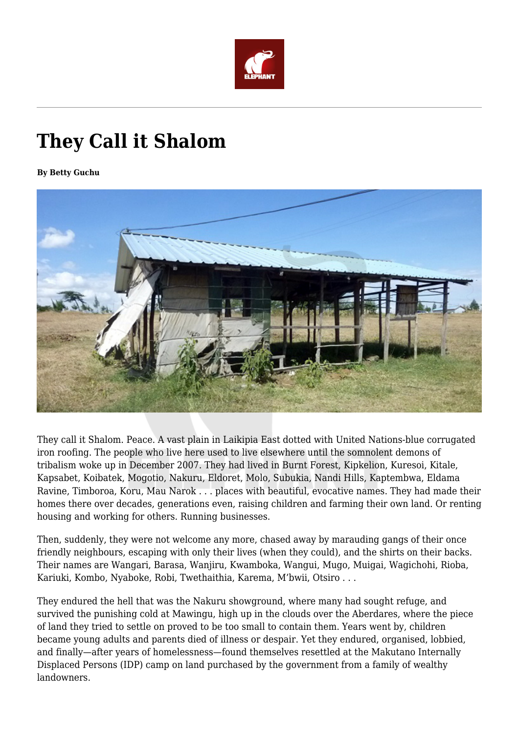

## **They Call it Shalom**

**By Betty Guchu**



They call it Shalom. Peace. A vast plain in Laikipia East dotted with United Nations-blue corrugated iron roofing. The people who live here used to live elsewhere until the somnolent demons of tribalism woke up in December 2007. They had lived in Burnt Forest, Kipkelion, Kuresoi, Kitale, Kapsabet, Koibatek, Mogotio, Nakuru, Eldoret, Molo, Subukia, Nandi Hills, Kaptembwa, Eldama Ravine, Timboroa, Koru, Mau Narok . . . places with beautiful, evocative names. They had made their homes there over decades, generations even, raising children and farming their own land. Or renting housing and working for others. Running businesses.

Then, suddenly, they were not welcome any more, chased away by marauding gangs of their once friendly neighbours, escaping with only their lives (when they could), and the shirts on their backs. Their names are Wangari, Barasa, Wanjiru, Kwamboka, Wangui, Mugo, Muigai, Wagichohi, Rioba, Kariuki, Kombo, Nyaboke, Robi, Twethaithia, Karema, M'bwii, Otsiro . . .

They endured the hell that was the Nakuru showground, where many had sought refuge, and survived the punishing cold at Mawingu, high up in the clouds over the Aberdares, where the piece of land they tried to settle on proved to be too small to contain them. Years went by, children became young adults and parents died of illness or despair. Yet they endured, organised, lobbied, and finally—after years of homelessness—found themselves resettled at the Makutano Internally Displaced Persons (IDP) camp on land purchased by the government from a family of wealthy landowners.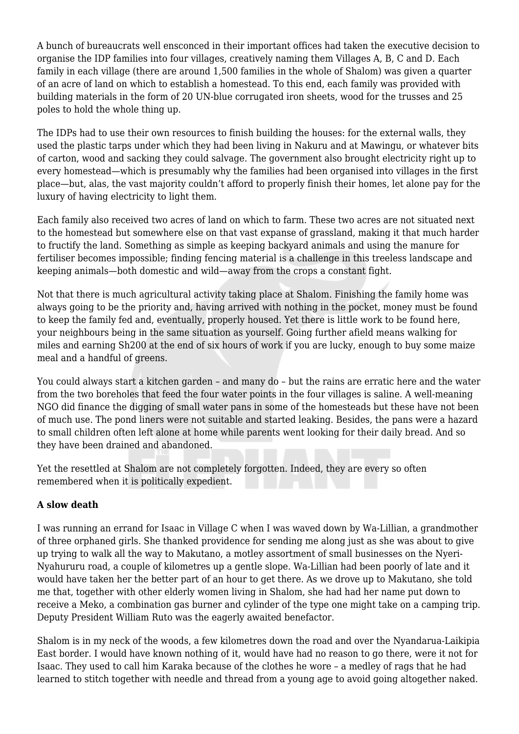A bunch of bureaucrats well ensconced in their important offices had taken the executive decision to organise the IDP families into four villages, creatively naming them Villages A, B, C and D. Each family in each village (there are around 1,500 families in the whole of Shalom) was given a quarter of an acre of land on which to establish a homestead. To this end, each family was provided with building materials in the form of 20 UN-blue corrugated iron sheets, wood for the trusses and 25 poles to hold the whole thing up.

The IDPs had to use their own resources to finish building the houses: for the external walls, they used the plastic tarps under which they had been living in Nakuru and at Mawingu, or whatever bits of carton, wood and sacking they could salvage. The government also brought electricity right up to every homestead—which is presumably why the families had been organised into villages in the first place—but, alas, the vast majority couldn't afford to properly finish their homes, let alone pay for the luxury of having electricity to light them.

Each family also received two acres of land on which to farm. These two acres are not situated next to the homestead but somewhere else on that vast expanse of grassland, making it that much harder to fructify the land. Something as simple as keeping backyard animals and using the manure for fertiliser becomes impossible; finding fencing material is a challenge in this treeless landscape and keeping animals—both domestic and wild—away from the crops a constant fight.

Not that there is much agricultural activity taking place at Shalom. Finishing the family home was always going to be the priority and, having arrived with nothing in the pocket, money must be found to keep the family fed and, eventually, properly housed. Yet there is little work to be found here, your neighbours being in the same situation as yourself. Going further afield means walking for miles and earning Sh200 at the end of six hours of work if you are lucky, enough to buy some maize meal and a handful of greens.

You could always start a kitchen garden – and many do – but the rains are erratic here and the water from the two boreholes that feed the four water points in the four villages is saline. A well-meaning NGO did finance the digging of small water pans in some of the homesteads but these have not been of much use. The pond liners were not suitable and started leaking. Besides, the pans were a hazard to small children often left alone at home while parents went looking for their daily bread. And so they have been drained and abandoned.

Yet the resettled at Shalom are not completely forgotten. Indeed, they are every so often remembered when it is politically expedient.

## **A slow death**

I was running an errand for Isaac in Village C when I was waved down by Wa-Lillian, a grandmother of three orphaned girls. She thanked providence for sending me along just as she was about to give up trying to walk all the way to Makutano, a motley assortment of small businesses on the Nyeri-Nyahururu road, a couple of kilometres up a gentle slope. Wa-Lillian had been poorly of late and it would have taken her the better part of an hour to get there. As we drove up to Makutano, she told me that, together with other elderly women living in Shalom, she had had her name put down to receive a Meko, a combination gas burner and cylinder of the type one might take on a camping trip. Deputy President William Ruto was the eagerly awaited benefactor.

Shalom is in my neck of the woods, a few kilometres down the road and over the Nyandarua-Laikipia East border. I would have known nothing of it, would have had no reason to go there, were it not for Isaac. They used to call him Karaka because of the clothes he wore – a medley of rags that he had learned to stitch together with needle and thread from a young age to avoid going altogether naked.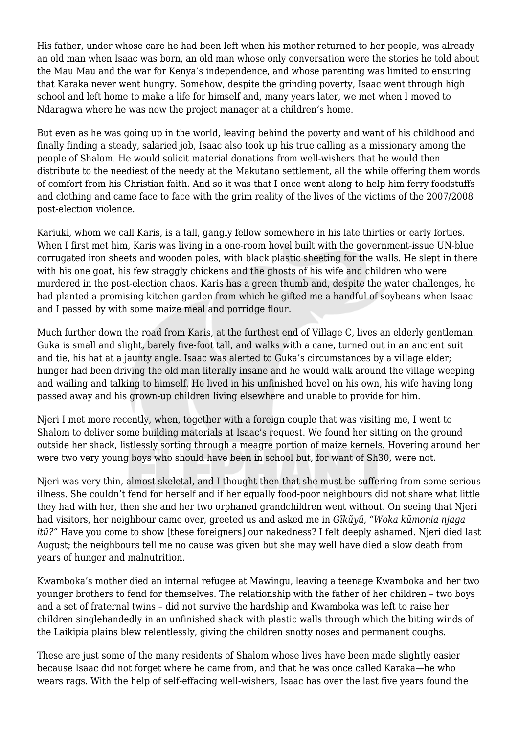His father, under whose care he had been left when his mother returned to her people, was already an old man when Isaac was born, an old man whose only conversation were the stories he told about the Mau Mau and the war for Kenya's independence, and whose parenting was limited to ensuring that Karaka never went hungry. Somehow, despite the grinding poverty, Isaac went through high school and left home to make a life for himself and, many years later, we met when I moved to Ndaragwa where he was now the project manager at a children's home.

But even as he was going up in the world, leaving behind the poverty and want of his childhood and finally finding a steady, salaried job, Isaac also took up his true calling as a missionary among the people of Shalom. He would solicit material donations from well-wishers that he would then distribute to the neediest of the needy at the Makutano settlement, all the while offering them words of comfort from his Christian faith. And so it was that I once went along to help him ferry foodstuffs and clothing and came face to face with the grim reality of the lives of the victims of the 2007/2008 post-election violence.

Kariuki, whom we call Karis, is a tall, gangly fellow somewhere in his late thirties or early forties. When I first met him, Karis was living in a one-room hovel built with the government-issue UN-blue corrugated iron sheets and wooden poles, with black plastic sheeting for the walls. He slept in there with his one goat, his few straggly chickens and the ghosts of his wife and children who were murdered in the post-election chaos. Karis has a green thumb and, despite the water challenges, he had planted a promising kitchen garden from which he gifted me a handful of soybeans when Isaac and I passed by with some maize meal and porridge flour.

Much further down the road from Karis, at the furthest end of Village C, lives an elderly gentleman. Guka is small and slight, barely five-foot tall, and walks with a cane, turned out in an ancient suit and tie, his hat at a jaunty angle. Isaac was alerted to Guka's circumstances by a village elder; hunger had been driving the old man literally insane and he would walk around the village weeping and wailing and talking to himself. He lived in his unfinished hovel on his own, his wife having long passed away and his grown-up children living elsewhere and unable to provide for him.

Njeri I met more recently, when, together with a foreign couple that was visiting me, I went to Shalom to deliver some building materials at Isaac's request. We found her sitting on the ground outside her shack, listlessly sorting through a meagre portion of maize kernels. Hovering around her were two very young boys who should have been in school but, for want of Sh30, were not.

Njeri was very thin, almost skeletal, and I thought then that she must be suffering from some serious illness. She couldn't fend for herself and if her equally food-poor neighbours did not share what little they had with her, then she and her two orphaned grandchildren went without. On seeing that Njeri had visitors, her neighbour came over, greeted us and asked me in *Gĩkũyũ*, *"Woka kũmonia njaga itũ?"* Have you come to show [these foreigners] our nakedness? I felt deeply ashamed. Njeri died last August; the neighbours tell me no cause was given but she may well have died a slow death from years of hunger and malnutrition.

Kwamboka's mother died an internal refugee at Mawingu, leaving a teenage Kwamboka and her two younger brothers to fend for themselves. The relationship with the father of her children – two boys and a set of fraternal twins – did not survive the hardship and Kwamboka was left to raise her children singlehandedly in an unfinished shack with plastic walls through which the biting winds of the Laikipia plains blew relentlessly, giving the children snotty noses and permanent coughs.

These are just some of the many residents of Shalom whose lives have been made slightly easier because Isaac did not forget where he came from, and that he was once called Karaka—he who wears rags. With the help of self-effacing well-wishers, Isaac has over the last five years found the